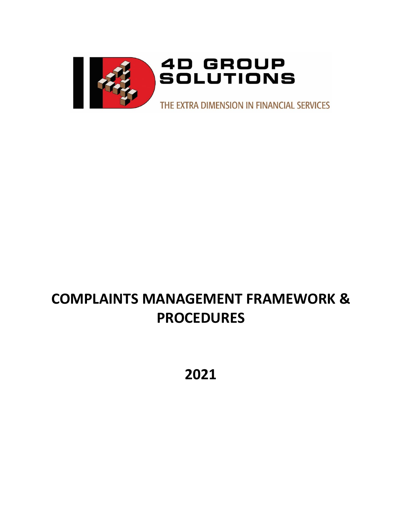

# **COMPLAINTS MANAGEMENT FRAMEWORK & PROCEDURES**

**2021**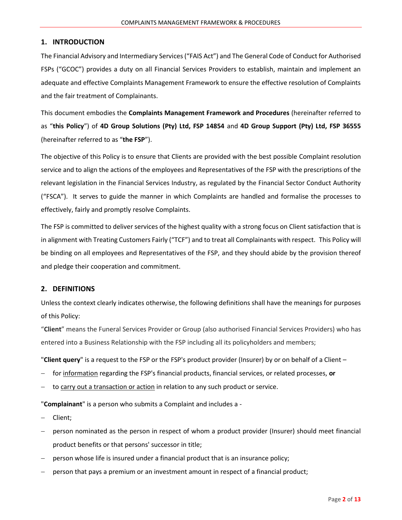## **1. INTRODUCTION**

The Financial Advisory and Intermediary Services ("FAIS Act") and The General Code of Conduct for Authorised FSPs ("GCOC") provides a duty on all Financial Services Providers to establish, maintain and implement an adequate and effective Complaints Management Framework to ensure the effective resolution of Complaints and the fair treatment of Complainants.

This document embodies the **Complaints Management Framework and Procedures** (hereinafter referred to as "**this Policy**") of **4D Group Solutions (Pty) Ltd, FSP 14854** and **4D Group Support (Pty) Ltd, FSP 36555** (hereinafter referred to as "**the FSP**").

The objective of this Policy is to ensure that Clients are provided with the best possible Complaint resolution service and to align the actions of the employees and Representatives of the FSP with the prescriptions of the relevant legislation in the Financial Services Industry, as regulated by the Financial Sector Conduct Authority ("FSCA"). It serves to guide the manner in which Complaints are handled and formalise the processes to effectively, fairly and promptly resolve Complaints.

The FSP is committed to deliver services of the highest quality with a strong focus on Client satisfaction that is in alignment with Treating Customers Fairly ("TCF") and to treat all Complainants with respect. This Policy will be binding on all employees and Representatives of the FSP, and they should abide by the provision thereof and pledge their cooperation and commitment.

# **2. DEFINITIONS**

Unless the context clearly indicates otherwise, the following definitions shall have the meanings for purposes of this Policy:

"**Client**" means the Funeral Services Provider or Group (also authorised Financial Services Providers) who has entered into a Business Relationship with the FSP including all its policyholders and members;

"**Client query**" is a request to the FSP or the FSP's product provider (Insurer) by or on behalf of a Client –

- − for information regarding the FSP's financial products, financial services, or related processes, **or**
- to carry out a transaction or action in relation to any such product or service.

"**Complainant**" is a person who submits a Complaint and includes a -

- − Client;
- − person nominated as the person in respect of whom a product provider (Insurer) should meet financial product benefits or that persons' successor in title;
- person whose life is insured under a financial product that is an insurance policy;
- person that pays a premium or an investment amount in respect of a financial product;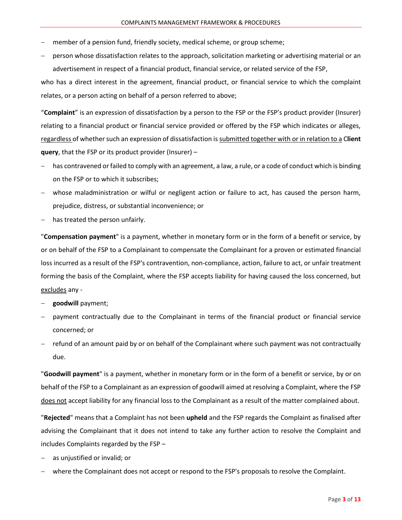- member of a pension fund, friendly society, medical scheme, or group scheme;
- − person whose dissatisfaction relates to the approach, solicitation marketing or advertising material or an advertisement in respect of a financial product, financial service, or related service of the FSP,

who has a direct interest in the agreement, financial product, or financial service to which the complaint relates, or a person acting on behalf of a person referred to above;

"**Complaint**" is an expression of dissatisfaction by a person to the FSP or the FSP's product provider (Insurer) relating to a financial product or financial service provided or offered by the FSP which indicates or alleges, regardless of whether such an expression of dissatisfaction is submitted together with or in relation to a C**lient query**, that the FSP or its product provider (Insurer) –

- has contravened or failed to comply with an agreement, a law, a rule, or a code of conduct which is binding on the FSP or to which it subscribes;
- − whose maladministration or wilful or negligent action or failure to act, has caused the person harm, prejudice, distress, or substantial inconvenience; or
- has treated the person unfairly.

"**Compensation payment**" is a payment, whether in monetary form or in the form of a benefit or service, by or on behalf of the FSP to a Complainant to compensate the Complainant for a proven or estimated financial loss incurred as a result of the FSP's contravention, non-compliance, action, failure to act, or unfair treatment forming the basis of the Complaint, where the FSP accepts liability for having caused the loss concerned, but excludes any -

- − **goodwill** payment;
- payment contractually due to the Complainant in terms of the financial product or financial service concerned; or
- refund of an amount paid by or on behalf of the Complainant where such payment was not contractually due.

"**Goodwill payment**" is a payment, whether in monetary form or in the form of a benefit or service, by or on behalf of the FSP to a Complainant as an expression of goodwill aimed at resolving a Complaint, where the FSP does not accept liability for any financial loss to the Complainant as a result of the matter complained about.

"**Rejected**" means that a Complaint has not been **upheld** and the FSP regards the Complaint as finalised after advising the Complainant that it does not intend to take any further action to resolve the Complaint and includes Complaints regarded by the FSP –

- as unjustified or invalid; or
- − where the Complainant does not accept or respond to the FSP's proposals to resolve the Complaint.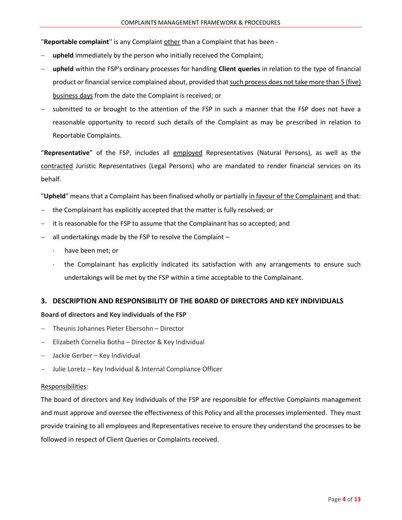"**Reportable complaint**'' is any Complaint other than a Complaint that has been -

- **upheld** immediately by the person who initially received the Complaint;
- − **upheld** within the FSP's ordinary processes for handling **Client queries** in relation to the type of financial product or financial service complained about, provided that such process does not take more than 5 (five) business days from the date the Complaint is received; or
- submitted to or brought to the attention of the FSP in such a manner that the FSP does not have a reasonable opportunity to record such details of the Complaint as may be prescribed in relation to Reportable Complaints.

"**Representative**" of the FSP, includes all employed Representatives (Natural Persons), as well as the contracted Juristic Representatives (Legal Persons) who are mandated to render financial services on its behalf.

"**Upheld**" means that a Complaint has been finalised wholly or partially in favour of the Complainant and that:

- − the Complainant has explicitly accepted that the matter is fully resolved; or
- − it is reasonable for the FSP to assume that the Complainant has so accepted; and
- − all undertakings made by the FSP to resolve the Complaint
	- $\cdot$  have been met; or
	- the Complainant has explicitly indicated its satisfaction with any arrangements to ensure such undertakings will be met by the FSP within a time acceptable to the Complainant.

# **3. DESCRIPTION AND RESPONSIBILITY OF THE BOARD OF DIRECTORS AND KEY INDIVIDUALS**

#### **Board of directors and Key individuals of the FSP**

- − Theunis Johannes Pieter Ebersohn Director
- − Elizabeth Cornelia Botha Director & Key Individual
- − Jackie Gerber Key Individual
- Julie Loretz Key Individual & Internal Compliance Officer

#### Responsibilities:

The board of directors and Key Individuals of the FSP are responsible for effective Complaints management and must approve and oversee the effectiveness of this Policy and all the processes implemented. They must provide training to all employees and Representatives receive to ensure they understand the processes to be followed in respect of Client Queries or Complaints received.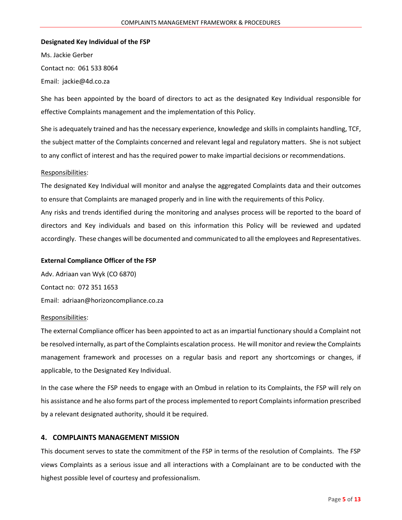#### **Designated Key Individual of the FSP**

Ms. Jackie Gerber Contact no: 061 533 8064 Email: jackie@4d.co.za

She has been appointed by the board of directors to act as the designated Key Individual responsible for effective Complaints management and the implementation of this Policy.

She is adequately trained and has the necessary experience, knowledge and skills in complaints handling, TCF, the subject matter of the Complaints concerned and relevant legal and regulatory matters. She is not subject to any conflict of interest and has the required power to make impartial decisions or recommendations.

#### Responsibilities:

The designated Key Individual will monitor and analyse the aggregated Complaints data and their outcomes to ensure that Complaints are managed properly and in line with the requirements of this Policy.

Any risks and trends identified during the monitoring and analyses process will be reported to the board of directors and Key individuals and based on this information this Policy will be reviewed and updated accordingly. These changes will be documented and communicated to all the employees and Representatives.

#### **External Compliance Officer of the FSP**

Adv. Adriaan van Wyk (CO 6870) Contact no: 072 351 1653 Email: adriaan@horizoncompliance.co.za

#### Responsibilities:

The external Compliance officer has been appointed to act as an impartial functionary should a Complaint not be resolved internally, as part of the Complaints escalation process. He will monitor and review the Complaints management framework and processes on a regular basis and report any shortcomings or changes, if applicable, to the Designated Key Individual.

In the case where the FSP needs to engage with an Ombud in relation to its Complaints, the FSP will rely on his assistance and he also forms part of the process implemented to report Complaints information prescribed by a relevant designated authority, should it be required.

## **4. COMPLAINTS MANAGEMENT MISSION**

This document serves to state the commitment of the FSP in terms of the resolution of Complaints. The FSP views Complaints as a serious issue and all interactions with a Complainant are to be conducted with the highest possible level of courtesy and professionalism.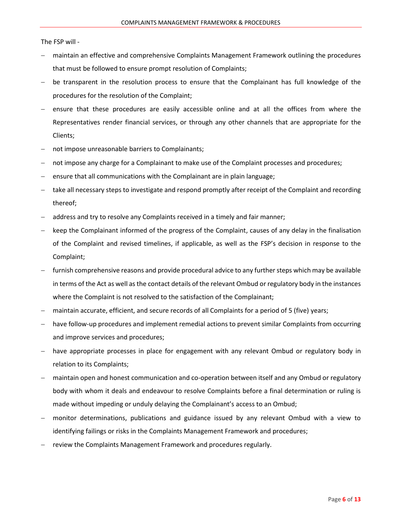The FSP will -

- maintain an effective and comprehensive Complaints Management Framework outlining the procedures that must be followed to ensure prompt resolution of Complaints;
- be transparent in the resolution process to ensure that the Complainant has full knowledge of the procedures for the resolution of the Complaint;
- ensure that these procedures are easily accessible online and at all the offices from where the Representatives render financial services, or through any other channels that are appropriate for the Clients;
- not impose unreasonable barriers to Complainants;
- not impose any charge for a Complainant to make use of the Complaint processes and procedures;
- ensure that all communications with the Complainant are in plain language;
- take all necessary steps to investigate and respond promptly after receipt of the Complaint and recording thereof;
- − address and try to resolve any Complaints received in a timely and fair manner;
- keep the Complainant informed of the progress of the Complaint, causes of any delay in the finalisation of the Complaint and revised timelines, if applicable, as well as the FSP's decision in response to the Complaint;
- furnish comprehensive reasons and provide procedural advice to any further steps which may be available in terms of the Act as well as the contact details of the relevant Ombud or regulatory body in the instances where the Complaint is not resolved to the satisfaction of the Complainant;
- maintain accurate, efficient, and secure records of all Complaints for a period of 5 (five) years;
- have follow-up procedures and implement remedial actions to prevent similar Complaints from occurring and improve services and procedures;
- have appropriate processes in place for engagement with any relevant Ombud or regulatory body in relation to its Complaints;
- maintain open and honest communication and co-operation between itself and any Ombud or regulatory body with whom it deals and endeavour to resolve Complaints before a final determination or ruling is made without impeding or unduly delaying the Complainant's access to an Ombud;
- monitor determinations, publications and guidance issued by any relevant Ombud with a view to identifying failings or risks in the Complaints Management Framework and procedures;
- − review the Complaints Management Framework and procedures regularly.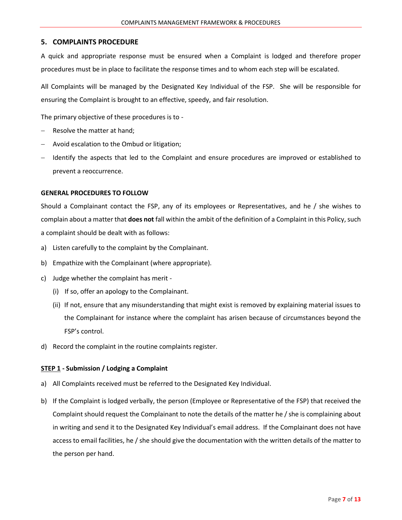## **5. COMPLAINTS PROCEDURE**

A quick and appropriate response must be ensured when a Complaint is lodged and therefore proper procedures must be in place to facilitate the response times and to whom each step will be escalated.

All Complaints will be managed by the Designated Key Individual of the FSP. She will be responsible for ensuring the Complaint is brought to an effective, speedy, and fair resolution.

The primary objective of these procedures is to -

- Resolve the matter at hand;
- − Avoid escalation to the Ombud or litigation;
- Hentify the aspects that led to the Complaint and ensure procedures are improved or established to prevent a reoccurrence.

#### **GENERAL PROCEDURES TO FOLLOW**

Should a Complainant contact the FSP, any of its employees or Representatives, and he / she wishes to complain about a matter that **does not** fall within the ambit of the definition of a Complaint in this Policy, such a complaint should be dealt with as follows:

- a) Listen carefully to the complaint by the Complainant.
- b) Empathize with the Complainant (where appropriate).
- c) Judge whether the complaint has merit
	- (i) If so, offer an apology to the Complainant.
	- (ii) If not, ensure that any misunderstanding that might exist is removed by explaining material issues to the Complainant for instance where the complaint has arisen because of circumstances beyond the FSP's control.
- d) Record the complaint in the routine complaints register.

#### **STEP 1 - Submission / Lodging a Complaint**

- a) All Complaints received must be referred to the Designated Key Individual.
- b) If the Complaint is lodged verbally, the person (Employee or Representative of the FSP) that received the Complaint should request the Complainant to note the details of the matter he / she is complaining about in writing and send it to the Designated Key Individual's email address. If the Complainant does not have access to email facilities, he / she should give the documentation with the written details of the matter to the person per hand.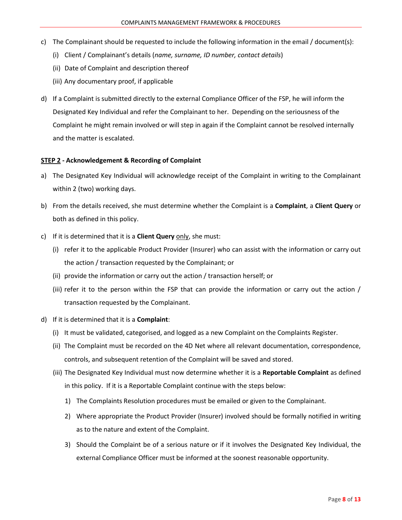- c) The Complainant should be requested to include the following information in the email / document(s):
	- (i) Client / Complainant's details (*name, surname, ID number, contact details*)
	- (ii) Date of Complaint and description thereof
	- (iii) Any documentary proof, if applicable
- d) If a Complaint is submitted directly to the external Compliance Officer of the FSP, he will inform the Designated Key Individual and refer the Complainant to her. Depending on the seriousness of the Complaint he might remain involved or will step in again if the Complaint cannot be resolved internally and the matter is escalated.

#### **STEP 2 - Acknowledgement & Recording of Complaint**

- a) The Designated Key Individual will acknowledge receipt of the Complaint in writing to the Complainant within 2 (two) working days.
- b) From the details received, she must determine whether the Complaint is a **Complaint**, a **Client Query** or both as defined in this policy.
- c) If it is determined that it is a **Client Query** only, she must:
	- (i) refer it to the applicable Product Provider (Insurer) who can assist with the information or carry out the action / transaction requested by the Complainant; or
	- (ii) provide the information or carry out the action / transaction herself; or
	- (iii) refer it to the person within the FSP that can provide the information or carry out the action / transaction requested by the Complainant.
- d) If it is determined that it is a **Complaint**:
	- (i) It must be validated, categorised, and logged as a new Complaint on the Complaints Register.
	- (ii) The Complaint must be recorded on the 4D Net where all relevant documentation, correspondence, controls, and subsequent retention of the Complaint will be saved and stored.
	- (iii) The Designated Key Individual must now determine whether it is a **Reportable Complaint** as defined in this policy. If it is a Reportable Complaint continue with the steps below:
		- 1) The Complaints Resolution procedures must be emailed or given to the Complainant.
		- 2) Where appropriate the Product Provider (Insurer) involved should be formally notified in writing as to the nature and extent of the Complaint.
		- 3) Should the Complaint be of a serious nature or if it involves the Designated Key Individual, the external Compliance Officer must be informed at the soonest reasonable opportunity.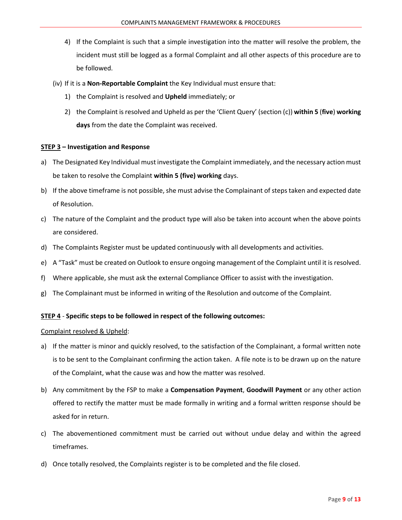- 4) If the Complaint is such that a simple investigation into the matter will resolve the problem, the incident must still be logged as a formal Complaint and all other aspects of this procedure are to be followed.
- (iv) If it is a **Non-Reportable Complaint** the Key Individual must ensure that:
	- 1) the Complaint is resolved and **Upheld** immediately; or
	- 2) the Complaint is resolved and Upheld as per the 'Client Query' (section (c)) **within 5** (**five**) **working days** from the date the Complaint was received.

#### **STEP 3 – Investigation and Response**

- a) The Designated Key Individual must investigate the Complaint immediately, and the necessary action must be taken to resolve the Complaint **within 5 (five) working** days.
- b) If the above timeframe is not possible, she must advise the Complainant of steps taken and expected date of Resolution.
- c) The nature of the Complaint and the product type will also be taken into account when the above points are considered.
- d) The Complaints Register must be updated continuously with all developments and activities.
- e) A "Task" must be created on Outlook to ensure ongoing management of the Complaint until it is resolved.
- f) Where applicable, she must ask the external Compliance Officer to assist with the investigation.
- g) The Complainant must be informed in writing of the Resolution and outcome of the Complaint.

#### **STEP 4** - **Specific steps to be followed in respect of the following outcomes:**

#### Complaint resolved & Upheld:

- a) If the matter is minor and quickly resolved, to the satisfaction of the Complainant, a formal written note is to be sent to the Complainant confirming the action taken. A file note is to be drawn up on the nature of the Complaint, what the cause was and how the matter was resolved.
- b) Any commitment by the FSP to make a **Compensation Payment**, **Goodwill Payment** or any other action offered to rectify the matter must be made formally in writing and a formal written response should be asked for in return.
- c) The abovementioned commitment must be carried out without undue delay and within the agreed timeframes.
- d) Once totally resolved, the Complaints register is to be completed and the file closed.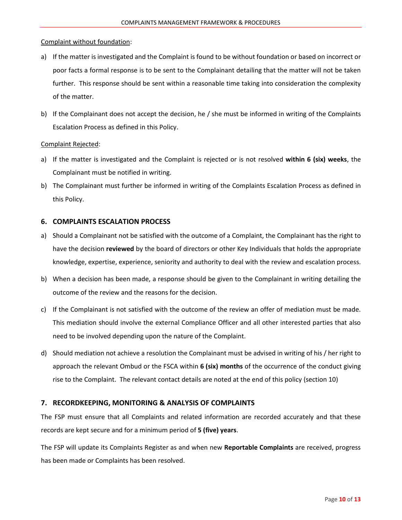## Complaint without foundation:

- a) If the matter is investigated and the Complaint is found to be without foundation or based on incorrect or poor facts a formal response is to be sent to the Complainant detailing that the matter will not be taken further. This response should be sent within a reasonable time taking into consideration the complexity of the matter.
- b) If the Complainant does not accept the decision, he / she must be informed in writing of the Complaints Escalation Process as defined in this Policy.

## Complaint Rejected:

- a) If the matter is investigated and the Complaint is rejected or is not resolved **within 6 (six) weeks**, the Complainant must be notified in writing.
- b) The Complainant must further be informed in writing of the Complaints Escalation Process as defined in this Policy.

# **6. COMPLAINTS ESCALATION PROCESS**

- a) Should a Complainant not be satisfied with the outcome of a Complaint, the Complainant has the right to have the decision **reviewed** by the board of directors or other Key Individuals that holds the appropriate knowledge, expertise, experience, seniority and authority to deal with the review and escalation process.
- b) When a decision has been made, a response should be given to the Complainant in writing detailing the outcome of the review and the reasons for the decision.
- c) If the Complainant is not satisfied with the outcome of the review an offer of mediation must be made. This mediation should involve the external Compliance Officer and all other interested parties that also need to be involved depending upon the nature of the Complaint.
- d) Should mediation not achieve a resolution the Complainant must be advised in writing of his / her right to approach the relevant Ombud or the FSCA within **6 (six) months** of the occurrence of the conduct giving rise to the Complaint. The relevant contact details are noted at the end of this policy (section 10)

# **7. RECORDKEEPING, MONITORING & ANALYSIS OF COMPLAINTS**

The FSP must ensure that all Complaints and related information are recorded accurately and that these records are kept secure and for a minimum period of **5 (five) years**.

The FSP will update its Complaints Register as and when new **Reportable Complaints** are received, progress has been made or Complaints has been resolved.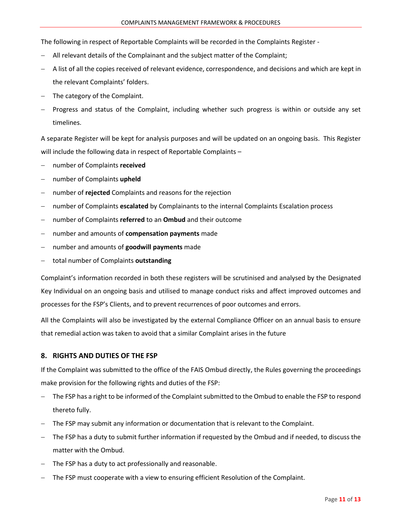The following in respect of Reportable Complaints will be recorded in the Complaints Register -

- − All relevant details of the Complainant and the subject matter of the Complaint;
- − A list of all the copies received of relevant evidence, correspondence, and decisions and which are kept in the relevant Complaints' folders.
- The category of the Complaint.
- Progress and status of the Complaint, including whether such progress is within or outside any set timelines.

A separate Register will be kept for analysis purposes and will be updated on an ongoing basis. This Register will include the following data in respect of Reportable Complaints -

- − number of Complaints **received**
- − number of Complaints **upheld**
- number of **rejected** Complaints and reasons for the rejection
- − number of Complaints **escalated** by Complainants to the internal Complaints Escalation process
- − number of Complaints **referred** to an **Ombud** and their outcome
- − number and amounts of **compensation payments** made
- − number and amounts of **goodwill payments** made
- − total number of Complaints **outstanding**

Complaint's information recorded in both these registers will be scrutinised and analysed by the Designated Key Individual on an ongoing basis and utilised to manage conduct risks and affect improved outcomes and processes for the FSP's Clients, and to prevent recurrences of poor outcomes and errors.

All the Complaints will also be investigated by the external Compliance Officer on an annual basis to ensure that remedial action was taken to avoid that a similar Complaint arises in the future

# **8. RIGHTS AND DUTIES OF THE FSP**

If the Complaint was submitted to the office of the FAIS Ombud directly, the Rules governing the proceedings make provision for the following rights and duties of the FSP:

- The FSP has a right to be informed of the Complaint submitted to the Ombud to enable the FSP to respond thereto fully.
- − The FSP may submit any information or documentation that is relevant to the Complaint.
- The FSP has a duty to submit further information if requested by the Ombud and if needed, to discuss the matter with the Ombud.
- The FSP has a duty to act professionally and reasonable.
- The FSP must cooperate with a view to ensuring efficient Resolution of the Complaint.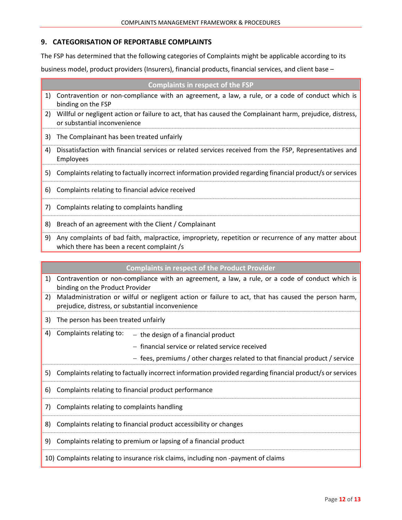# **9. CATEGORISATION OF REPORTABLE COMPLAINTS**

The FSP has determined that the following categories of Complaints might be applicable according to its

business model, product providers (Insurers), financial products, financial services, and client base –

|    | <b>Complaints in respect of the FSP</b>                                                                                                   |
|----|-------------------------------------------------------------------------------------------------------------------------------------------|
|    | 1) Contravention or non-compliance with an agreement, a law, a rule, or a code of conduct which is<br>binding on the FSP                  |
| 2) | Willful or negligent action or failure to act, that has caused the Complainant harm, prejudice, distress,<br>or substantial inconvenience |
| 3) | The Complainant has been treated unfairly                                                                                                 |
| 4) | Dissatisfaction with financial services or related services received from the FSP, Representatives and<br>Employees                       |
|    | 5) Complaints relating to factually incorrect information provided regarding financial product/s or services                              |
|    | 6) Complaints relating to financial advice received                                                                                       |
|    | 7) Complaints relating to complaints handling                                                                                             |
| 8) | Breach of an agreement with the Client / Complainant                                                                                      |

9) Any complaints of bad faith, malpractice, impropriety, repetition or recurrence of any matter about which there has been a recent complaint /s

| <b>Complaints in respect of the Product Provider</b> |  |
|------------------------------------------------------|--|
|------------------------------------------------------|--|

| 1) | Contravention or non-compliance with an agreement, a law, a rule, or a code of conduct which is<br>binding on the Product Provider                       |
|----|----------------------------------------------------------------------------------------------------------------------------------------------------------|
| 2) | Maladministration or wilful or negligent action or failure to act, that has caused the person harm,<br>prejudice, distress, or substantial inconvenience |
| 3) | The person has been treated unfairly                                                                                                                     |
| 4) | Complaints relating to:<br>$-$ the design of a financial product                                                                                         |
|    | - financial service or related service received                                                                                                          |
|    | - fees, premiums / other charges related to that financial product / service                                                                             |
|    | 5) Complaints relating to factually incorrect information provided regarding financial product/s or services                                             |
| 6) | Complaints relating to financial product performance                                                                                                     |
|    | 7) Complaints relating to complaints handling                                                                                                            |
| 8) | Complaints relating to financial product accessibility or changes                                                                                        |
| 9) | Complaints relating to premium or lapsing of a financial product                                                                                         |
|    | 10) Complaints relating to insurance risk claims, including non-payment of claims                                                                        |